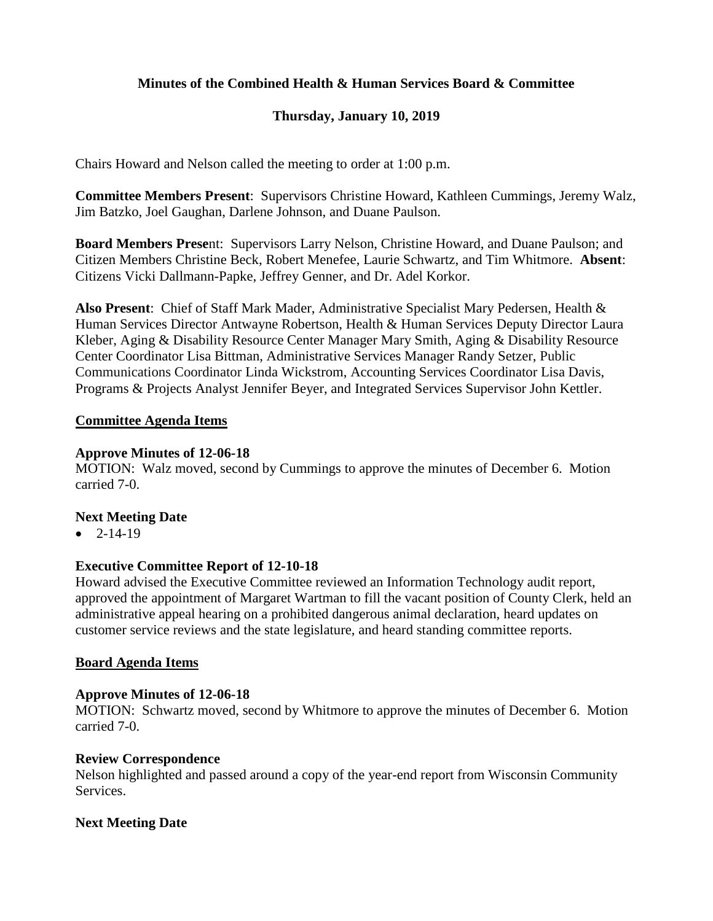## **Minutes of the Combined Health & Human Services Board & Committee**

## **Thursday, January 10, 2019**

Chairs Howard and Nelson called the meeting to order at 1:00 p.m.

**Committee Members Present**: Supervisors Christine Howard, Kathleen Cummings, Jeremy Walz, Jim Batzko, Joel Gaughan, Darlene Johnson, and Duane Paulson.

**Board Members Prese**nt: Supervisors Larry Nelson, Christine Howard, and Duane Paulson; and Citizen Members Christine Beck, Robert Menefee, Laurie Schwartz, and Tim Whitmore. **Absent**: Citizens Vicki Dallmann-Papke, Jeffrey Genner, and Dr. Adel Korkor.

**Also Present**: Chief of Staff Mark Mader, Administrative Specialist Mary Pedersen, Health & Human Services Director Antwayne Robertson, Health & Human Services Deputy Director Laura Kleber, Aging & Disability Resource Center Manager Mary Smith, Aging & Disability Resource Center Coordinator Lisa Bittman, Administrative Services Manager Randy Setzer, Public Communications Coordinator Linda Wickstrom, Accounting Services Coordinator Lisa Davis, Programs & Projects Analyst Jennifer Beyer, and Integrated Services Supervisor John Kettler.

### **Committee Agenda Items**

#### **Approve Minutes of 12-06-18**

MOTION: Walz moved, second by Cummings to approve the minutes of December 6. Motion carried 7-0.

### **Next Meeting Date**

 $-2 - 14 - 19$ 

### **Executive Committee Report of 12-10-18**

Howard advised the Executive Committee reviewed an Information Technology audit report, approved the appointment of Margaret Wartman to fill the vacant position of County Clerk, held an administrative appeal hearing on a prohibited dangerous animal declaration, heard updates on customer service reviews and the state legislature, and heard standing committee reports.

#### **Board Agenda Items**

### **Approve Minutes of 12-06-18**

MOTION: Schwartz moved, second by Whitmore to approve the minutes of December 6. Motion carried 7-0.

### **Review Correspondence**

Nelson highlighted and passed around a copy of the year-end report from Wisconsin Community Services.

### **Next Meeting Date**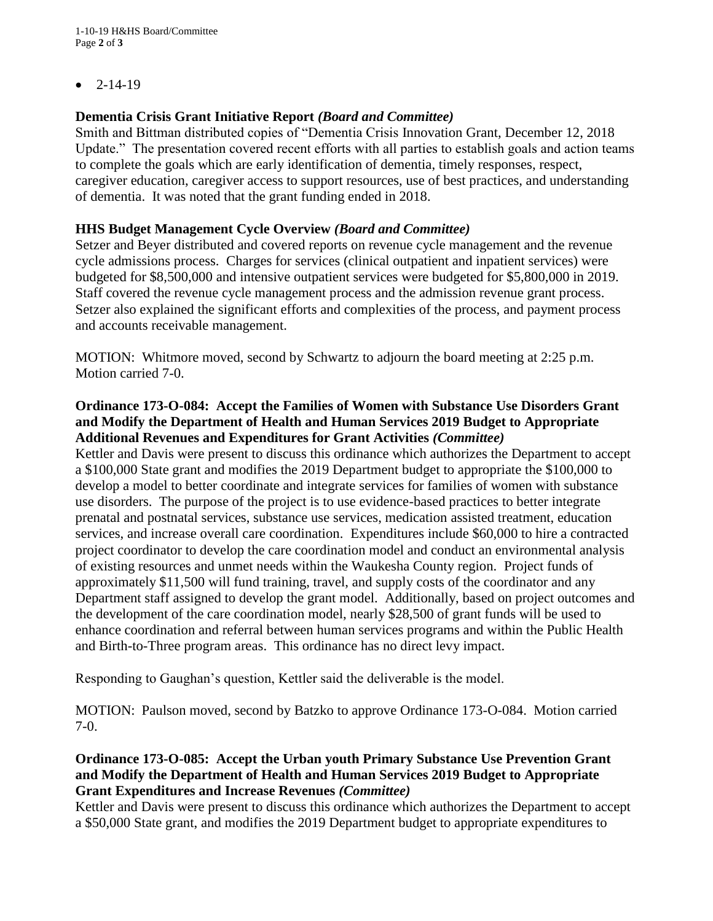$-2-14-19$ 

# **Dementia Crisis Grant Initiative Report** *(Board and Committee)*

Smith and Bittman distributed copies of "Dementia Crisis Innovation Grant, December 12, 2018 Update." The presentation covered recent efforts with all parties to establish goals and action teams to complete the goals which are early identification of dementia, timely responses, respect, caregiver education, caregiver access to support resources, use of best practices, and understanding of dementia. It was noted that the grant funding ended in 2018.

# **HHS Budget Management Cycle Overview** *(Board and Committee)*

Setzer and Beyer distributed and covered reports on revenue cycle management and the revenue cycle admissions process. Charges for services (clinical outpatient and inpatient services) were budgeted for \$8,500,000 and intensive outpatient services were budgeted for \$5,800,000 in 2019. Staff covered the revenue cycle management process and the admission revenue grant process. Setzer also explained the significant efforts and complexities of the process, and payment process and accounts receivable management.

MOTION: Whitmore moved, second by Schwartz to adjourn the board meeting at 2:25 p.m. Motion carried 7-0.

## **Ordinance 173-O-084: Accept the Families of Women with Substance Use Disorders Grant and Modify the Department of Health and Human Services 2019 Budget to Appropriate Additional Revenues and Expenditures for Grant Activities** *(Committee)*

Kettler and Davis were present to discuss this ordinance which authorizes the Department to accept a \$100,000 State grant and modifies the 2019 Department budget to appropriate the \$100,000 to develop a model to better coordinate and integrate services for families of women with substance use disorders. The purpose of the project is to use evidence-based practices to better integrate prenatal and postnatal services, substance use services, medication assisted treatment, education services, and increase overall care coordination. Expenditures include \$60,000 to hire a contracted project coordinator to develop the care coordination model and conduct an environmental analysis of existing resources and unmet needs within the Waukesha County region. Project funds of approximately \$11,500 will fund training, travel, and supply costs of the coordinator and any Department staff assigned to develop the grant model. Additionally, based on project outcomes and the development of the care coordination model, nearly \$28,500 of grant funds will be used to enhance coordination and referral between human services programs and within the Public Health and Birth-to-Three program areas. This ordinance has no direct levy impact.

Responding to Gaughan's question, Kettler said the deliverable is the model.

MOTION: Paulson moved, second by Batzko to approve Ordinance 173-O-084. Motion carried 7-0.

## **Ordinance 173-O-085: Accept the Urban youth Primary Substance Use Prevention Grant and Modify the Department of Health and Human Services 2019 Budget to Appropriate Grant Expenditures and Increase Revenues** *(Committee)*

Kettler and Davis were present to discuss this ordinance which authorizes the Department to accept a \$50,000 State grant, and modifies the 2019 Department budget to appropriate expenditures to